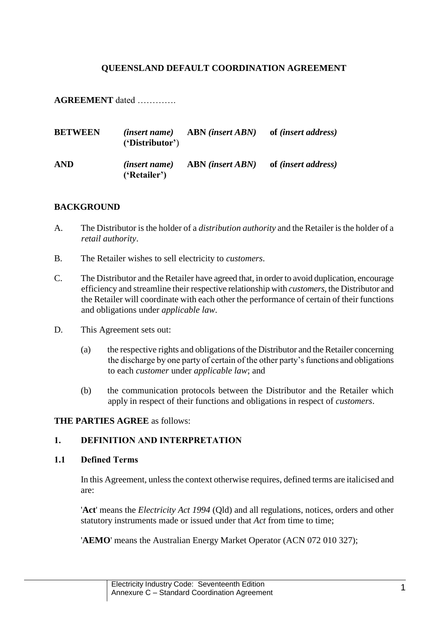### **QUEENSLAND DEFAULT COORDINATION AGREEMENT**

**AGREEMENT** dated ………….

| <b>BETWEEN</b> | <i>(insert name)</i><br>'Distributor' | <b>ABN</b> (insert ABN)         | of <i>(insert address)</i> |
|----------------|---------------------------------------|---------------------------------|----------------------------|
| <b>AND</b>     | <i>(insert name)</i><br>('Retailer')  | <b>ABN</b> (insert <i>ABN</i> ) | of <i>(insert address)</i> |

#### **BACKGROUND**

- A. The Distributor is the holder of a *distribution authority* and the Retailer is the holder of a *retail authority*.
- B. The Retailer wishes to sell electricity to *customers*.
- C. The Distributor and the Retailer have agreed that, in order to avoid duplication, encourage efficiency and streamline their respective relationship with *customers*, the Distributor and the Retailer will coordinate with each other the performance of certain of their functions and obligations under *applicable law*.
- D. This Agreement sets out:
	- (a) the respective rights and obligations of the Distributor and the Retailer concerning the discharge by one party of certain of the other party's functions and obligations to each *customer* under *applicable law*; and
	- (b) the communication protocols between the Distributor and the Retailer which apply in respect of their functions and obligations in respect of *customers*.

#### **THE PARTIES AGREE** as follows:

### **1. DEFINITION AND INTERPRETATION**

### <span id="page-0-0"></span>**1.1 Defined Terms**

In this Agreement, unless the context otherwise requires, defined terms are italicised and are:

'**Act**' means the *Electricity Act 1994* (Qld) and all regulations, notices, orders and other statutory instruments made or issued under that *Act* from time to time;

'**AEMO**' means the Australian Energy Market Operator (ACN 072 010 327);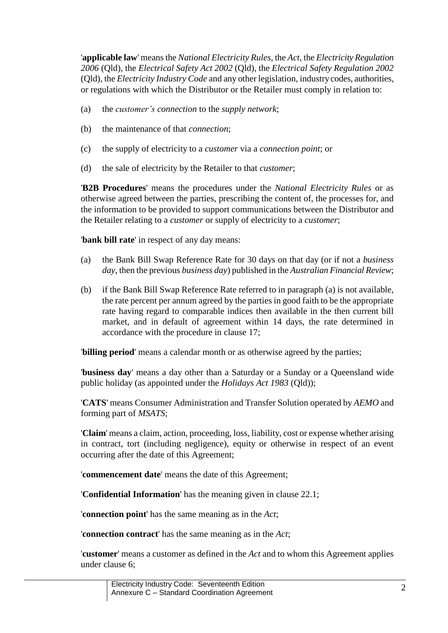'**applicable law**' means the *National Electricity Rules*, the *Act*, the *Electricity Regulation 2006* (Qld), the *Electrical Safety Act 2002* (Qld), the *Electrical Safety Regulation 2002* (Qld), the *Electricity Industry Code* and any other legislation, industry codes, authorities, or regulations with which the Distributor or the Retailer must comply in relation to:

- (a) the *customer's connection* to the *supply network*;
- (b) the maintenance of that *connection*;
- (c) the supply of electricity to a *customer* via a *connection point*; or
- (d) the sale of electricity by the Retailer to that *customer*;

'**B2B Procedures**' means the procedures under the *National Electricity Rules* or as otherwise agreed between the parties, prescribing the content of, the processes for, and the information to be provided to support communications between the Distributor and the Retailer relating to a *customer* or supply of electricity to a *customer*;

'**bank bill rate**' in respect of any day means:

- <span id="page-1-0"></span>(a) the Bank Bill Swap Reference Rate for 30 days on that day (or if not a *business day*, then the previous *business day*) published in the *Australian Financial Review*;
- (b) if the Bank Bill Swap Reference Rate referred to in paragraph [\(a\)](#page-1-0) is not available, the rate percent per annum agreed by the parties in good faith to be the appropriate rate having regard to comparable indices then available in the then current bill market, and in default of agreement within 14 days, the rate determined in accordance with the procedure in clause [17;](#page-23-0)

'**billing period**' means a calendar month or as otherwise agreed by the parties;

'**business day**' means a day other than a Saturday or a Sunday or a Queensland wide public holiday (as appointed under the *Holidays Act 1983* (Qld));

'**CATS**' means Consumer Administration and Transfer Solution operated by *AEMO* and forming part of *MSATS*;

'**Claim**' means a claim, action, proceeding, loss, liability, cost or expense whether arising in contract, tort (including negligence), equity or otherwise in respect of an event occurring after the date of this Agreement;

'**commencement date**' means the date of this Agreement;

'**Confidential Information**' has the meaning given in clause [22.1;](#page-29-0)

'**connection point**' has the same meaning as in the *Act*;

'**connection contract**' has the same meaning as in the *Act*;

'**customer**' means a customer as defined in the *Act* and to whom this Agreement applies under clause [6;](#page-9-0)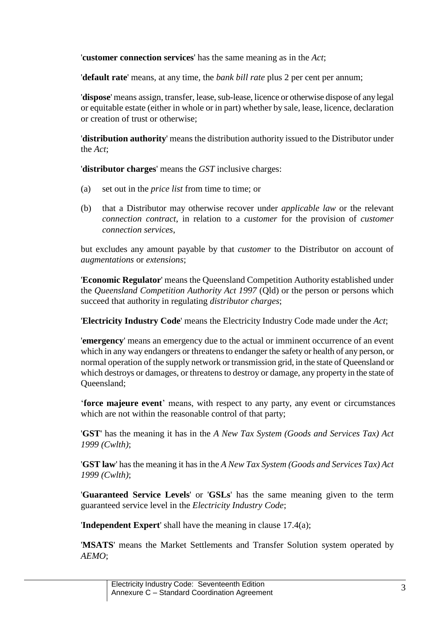'**customer connection services**' has the same meaning as in the *Act*;

'**default rate**' means, at any time, the *bank bill rate* plus 2 per cent per annum;

'**dispose**' means assign, transfer, lease, sub-lease, licence or otherwise dispose of any legal or equitable estate (either in whole or in part) whether by sale, lease, licence, declaration or creation of trust or otherwise;

'**distribution authority**' means the distribution authority issued to the Distributor under the *Act*;

'**distributor charges**' means the *GST* inclusive charges:

- (a) set out in the *price list* from time to time; or
- (b) that a Distributor may otherwise recover under *applicable law* or the relevant *connection contract*, in relation to a *customer* for the provision of *customer connection services*,

but excludes any amount payable by that *customer* to the Distributor on account of *augmentations* or *extensions*;

'**Economic Regulator**' means the Queensland Competition Authority established under the *Queensland Competition Authority Act 1997* (Qld) or the person or persons which succeed that authority in regulating *distributor charges*;

'**Electricity Industry Code**' means the Electricity Industry Code made under the *Act*;

'**emergency**' means an emergency due to the actual or imminent occurrence of an event which in any way endangers or threatens to endanger the safety or health of any person, or normal operation of the supply network or transmission grid, in the state of Queensland or which destroys or damages, or threatens to destroy or damage, any property in the state of Queensland;

'**force majeure event**' means, with respect to any party, any event or circumstances which are not within the reasonable control of that party;

'**GST**' has the meaning it has in the *A New Tax System (Goods and Services Tax) Act 1999 (Cwlth)*;

'**GST law**' has the meaning it has in the *A New Tax System (Goods and Services Tax) Act 1999 (Cwlth)*;

'**Guaranteed Service Levels**' or '**GSLs**' has the same meaning given to the term guaranteed service level in the *Electricity Industry Code*;

'**Independent Expert**' shall have the meaning in clause [17.4\(a\);](#page-24-0)

'**MSATS**' means the Market Settlements and Transfer Solution system operated by *AEMO*;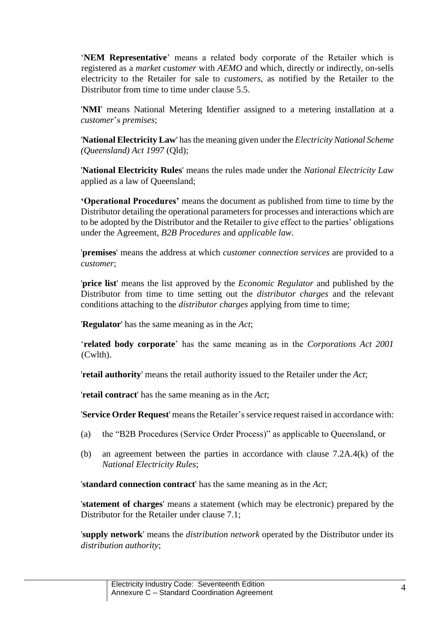'**NEM Representative**' means a related body corporate of the Retailer which is registered as a *market customer* with *AEMO* and which, directly or indirectly, on-sells electricity to the Retailer for sale to *customers*, as notified by the Retailer to the Distributor from time to time under clause [5.5.](#page-8-0)

'**NMI**' means National Metering Identifier assigned to a metering installation at a *customer*'s *premises*;

'**National Electricity Law**' has the meaning given under the *Electricity National Scheme (Queensland) Act 1997* (Qld);

'**National Electricity Rules**' means the rules made under the *National Electricity Law* applied as a law of Queensland;

**'Operational Procedures'** means the document as published from time to time by the Distributor detailing the operational parameters for processes and interactions which are to be adopted by the Distributor and the Retailer to give effect to the parties' obligations under the Agreement, *B2B Procedures* and *applicable law*.

'**premises**' means the address at which *customer connection services* are provided to a *customer*;

'**price list**' means the list approved by the *Economic Regulator* and published by the Distributor from time to time setting out the *distributor charges* and the relevant conditions attaching to the *distributor charges* applying from time to time;

'**Regulator**' has the same meaning as in the *Act*;

'**related body corporate**' has the same meaning as in the *Corporations Act 2001*  (Cwlth).

'**retail authority**' means the retail authority issued to the Retailer under the *Act*;

'**retail contract**' has the same meaning as in the *Act*;

'Service Order Request' means the Retailer's service request raised in accordance with:

- (a) the "B2B Procedures (Service Order Process)" as applicable to Queensland, or
- (b) an agreement between the parties in accordance with clause 7.2A.4(k) of the *National Electricity Rules*;

'**standard connection contract**' has the same meaning as in the *Act*;

'**statement of charges**' means a statement (which may be electronic) prepared by the Distributor for the Retailer under clause [7.1;](#page-9-1)

'**supply network**' means the *distribution network* operated by the Distributor under its *distribution authority*;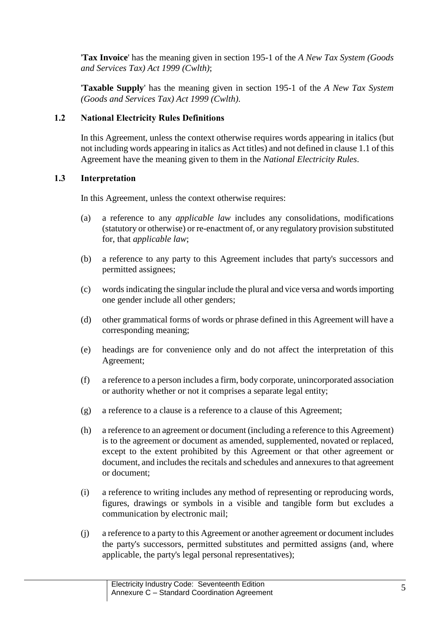'**Tax Invoice**' has the meaning given in section 195-1 of the *A New Tax System (Goods and Services Tax) Act 1999 (Cwlth)*;

'**Taxable Supply**' has the meaning given in section 195-1 of the *A New Tax System (Goods and Services Tax) Act 1999 (Cwlth)*.

### **1.2 National Electricity Rules Definitions**

In this Agreement, unless the context otherwise requires words appearing in italics (but not including words appearing in italics as Act titles) and not defined in claus[e 1.1](#page-0-0) of this Agreement have the meaning given to them in the *National Electricity Rules*.

### **1.3 Interpretation**

In this Agreement, unless the context otherwise requires:

- (a) a reference to any *applicable law* includes any consolidations, modifications (statutory or otherwise) or re-enactment of, or any regulatory provision substituted for, that *applicable law*;
- (b) a reference to any party to this Agreement includes that party's successors and permitted assignees;
- (c) words indicating the singular include the plural and vice versa and words importing one gender include all other genders;
- (d) other grammatical forms of words or phrase defined in this Agreement will have a corresponding meaning;
- (e) headings are for convenience only and do not affect the interpretation of this Agreement;
- (f) a reference to a person includes a firm, body corporate, unincorporated association or authority whether or not it comprises a separate legal entity;
- (g) a reference to a clause is a reference to a clause of this Agreement;
- (h) a reference to an agreement or document (including a reference to this Agreement) is to the agreement or document as amended, supplemented, novated or replaced, except to the extent prohibited by this Agreement or that other agreement or document, and includes the recitals and schedules and annexures to that agreement or document;
- (i) a reference to writing includes any method of representing or reproducing words, figures, drawings or symbols in a visible and tangible form but excludes a communication by electronic mail;
- (j) a reference to a party to this Agreement or another agreement or document includes the party's successors, permitted substitutes and permitted assigns (and, where applicable, the party's legal personal representatives);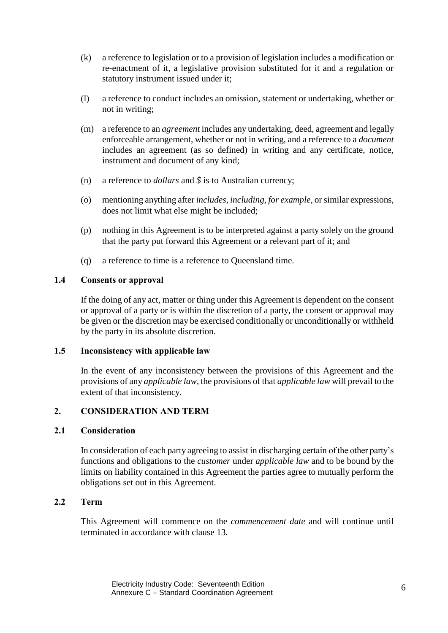- (k) a reference to legislation or to a provision of legislation includes a modification or re-enactment of it, a legislative provision substituted for it and a regulation or statutory instrument issued under it;
- (l) a reference to conduct includes an omission, statement or undertaking, whether or not in writing;
- (m) a reference to an *agreement* includes any undertaking, deed, agreement and legally enforceable arrangement, whether or not in writing, and a reference to a *document* includes an agreement (as so defined) in writing and any certificate, notice, instrument and document of any kind;
- (n) a reference to *dollars* and *\$* is to Australian currency;
- (o) mentioning anything after *includes*, *including*, *for example*, or similar expressions, does not limit what else might be included;
- (p) nothing in this Agreement is to be interpreted against a party solely on the ground that the party put forward this Agreement or a relevant part of it; and
- (q) a reference to time is a reference to Queensland time.

### **1.4 Consents or approval**

If the doing of any act, matter or thing under this Agreement is dependent on the consent or approval of a party or is within the discretion of a party, the consent or approval may be given or the discretion may be exercised conditionally or unconditionally or withheld by the party in its absolute discretion.

### **1.5 Inconsistency with applicable law**

In the event of any inconsistency between the provisions of this Agreement and the provisions of any *applicable law*, the provisions of that *applicable law* will prevail to the extent of that inconsistency.

### **2. CONSIDERATION AND TERM**

### **2.1 Consideration**

In consideration of each party agreeing to assist in discharging certain of the other party's functions and obligations to the *customer* under *applicable law* and to be bound by the limits on liability contained in this Agreement the parties agree to mutually perform the obligations set out in this Agreement.

### **2.2 Term**

This Agreement will commence on the *commencement date* and will continue until terminated in accordance with clause [13.](#page-19-0)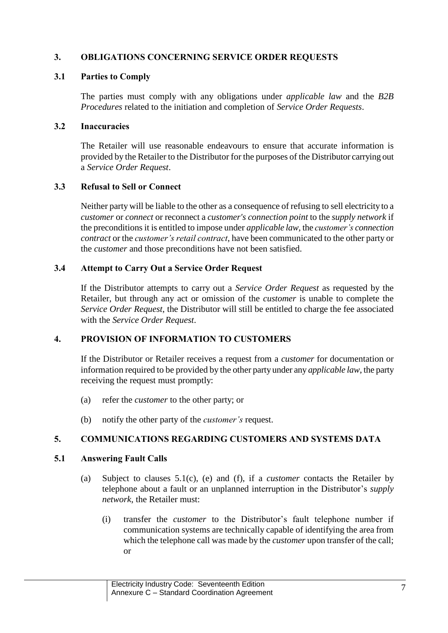# **3. OBLIGATIONS CONCERNING SERVICE ORDER REQUESTS**

### **3.1 Parties to Comply**

The parties must comply with any obligations under *applicable law* and the *B2B Procedures* related to the initiation and completion of *Service Order Requests*.

### <span id="page-6-1"></span>**3.2 Inaccuracies**

The Retailer will use reasonable endeavours to ensure that accurate information is provided by the Retailer to the Distributor for the purposes of the Distributor carrying out a *Service Order Request*.

### **3.3 Refusal to Sell or Connect**

Neither party will be liable to the other as a consequence of refusing to sell electricity to a *customer* or *connect* or reconnect a *customer's connection point* to the *supply network* if the preconditions it is entitled to impose under *applicable law,* the *customer's connection contract* or the *customer's retail contract*, have been communicated to the other party or the *customer* and those preconditions have not been satisfied.

### **3.4 Attempt to Carry Out a Service Order Request**

If the Distributor attempts to carry out a *Service Order Request* as requested by the Retailer, but through any act or omission of the *customer* is unable to complete the *Service Order Request*, the Distributor will still be entitled to charge the fee associated with the *Service Order Request*.

### **4. PROVISION OF INFORMATION TO CUSTOMERS**

If the Distributor or Retailer receives a request from a *customer* for documentation or information required to be provided by the other party under any *applicable law*, the party receiving the request must promptly:

- (a) refer the *customer* to the other party; or
- (b) notify the other party of the *customer's* request.

### **5. COMMUNICATIONS REGARDING CUSTOMERS AND SYSTEMS DATA**

#### <span id="page-6-0"></span>**5.1 Answering Fault Calls**

- (a) Subject to clauses [5.1\(](#page-6-0)c), (e) and (f), if a *customer* contacts the Retailer by telephone about a fault or an unplanned interruption in the Distributor's *supply network*, the Retailer must:
	- (i) transfer the *customer* to the Distributor's fault telephone number if communication systems are technically capable of identifying the area from which the telephone call was made by the *customer* upon transfer of the call; or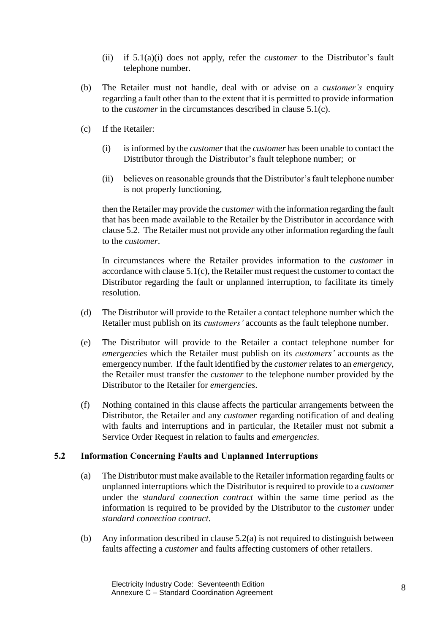- (ii) if [5.1\(](#page-6-0)a)(i) does not apply, refer the *customer* to the Distributor's fault telephone number.
- (b) The Retailer must not handle, deal with or advise on a *customer's* enquiry regarding a fault other than to the extent that it is permitted to provide information to the *customer* in the circumstances described in clause [5.1\(](#page-6-0)c).
- (c) If the Retailer:
	- (i) is informed by the *customer* that the *customer* has been unable to contact the Distributor through the Distributor's fault telephone number; or
	- (ii) believes on reasonable grounds that the Distributor's fault telephone number is not properly functioning,

then the Retailer may provide the *customer* with the information regarding the fault that has been made available to the Retailer by the Distributor in accordance with clause [5.2.](#page-7-0) The Retailer must not provide any other information regarding the fault to the *customer*.

In circumstances where the Retailer provides information to the *customer* in accordance with clause  $5.1(c)$ , the Retailer must request the customer to contact the Distributor regarding the fault or unplanned interruption, to facilitate its timely resolution.

- (d) The Distributor will provide to the Retailer a contact telephone number which the Retailer must publish on its *customers'* accounts as the fault telephone number.
- (e) The Distributor will provide to the Retailer a contact telephone number for *emergencies* which the Retailer must publish on its *customers'* accounts as the emergency number. If the fault identified by the *customer*relates to an *emergency*, the Retailer must transfer the *customer* to the telephone number provided by the Distributor to the Retailer for *emergencies*.
- (f) Nothing contained in this clause affects the particular arrangements between the Distributor, the Retailer and any *customer* regarding notification of and dealing with faults and interruptions and in particular, the Retailer must not submit a Service Order Request in relation to faults and *emergencies*.

### <span id="page-7-0"></span>**5.2 Information Concerning Faults and Unplanned Interruptions**

- (a) The Distributor must make available to the Retailer information regarding faults or unplanned interruptions which the Distributor is required to provide to a *customer* under the *standard connection contract* within the same time period as the information is required to be provided by the Distributor to the *customer* under *standard connection contract*.
- (b) Any information described in clause [5.2\(](#page-7-0)a) is not required to distinguish between faults affecting a *customer* and faults affecting customers of other retailers.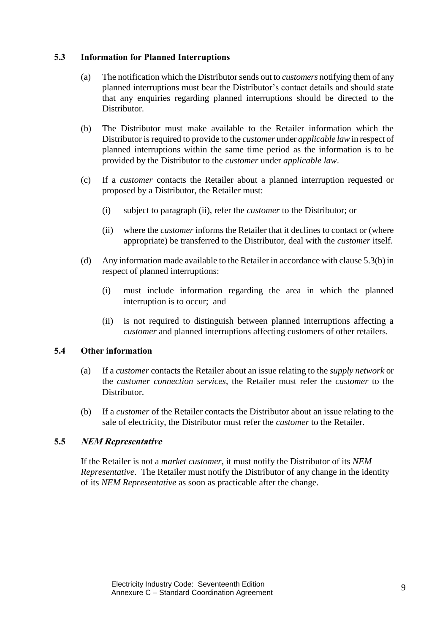## <span id="page-8-1"></span>**5.3 Information for Planned Interruptions**

- (a) The notification which the Distributor sends out to *customers* notifying them of any planned interruptions must bear the Distributor's contact details and should state that any enquiries regarding planned interruptions should be directed to the Distributor.
- (b) The Distributor must make available to the Retailer information which the Distributor is required to provide to the *customer* under *applicable law* in respect of planned interruptions within the same time period as the information is to be provided by the Distributor to the *customer* under *applicable law*.
- (c) If a *customer* contacts the Retailer about a planned interruption requested or proposed by a Distributor, the Retailer must:
	- (i) subject to paragraph (ii), refer the *customer* to the Distributor; or
	- (ii) where the *customer* informs the Retailer that it declines to contact or (where appropriate) be transferred to the Distributor, deal with the *customer* itself.
- (d) Any information made available to the Retailer in accordance with clause [5.3\(](#page-8-1)b) in respect of planned interruptions:
	- (i) must include information regarding the area in which the planned interruption is to occur; and
	- (ii) is not required to distinguish between planned interruptions affecting a *customer* and planned interruptions affecting customers of other retailers.

### **5.4 Other information**

- (a) If a *customer* contacts the Retailer about an issue relating to the *supply network* or the *customer connection services*, the Retailer must refer the *customer* to the Distributor.
- (b) If a *customer* of the Retailer contacts the Distributor about an issue relating to the sale of electricity, the Distributor must refer the *customer* to the Retailer.

### <span id="page-8-0"></span>**5.5 NEM Representative**

If the Retailer is not a *market customer*, it must notify the Distributor of its *NEM Representative*. The Retailer must notify the Distributor of any change in the identity of its *NEM Representative* as soon as practicable after the change.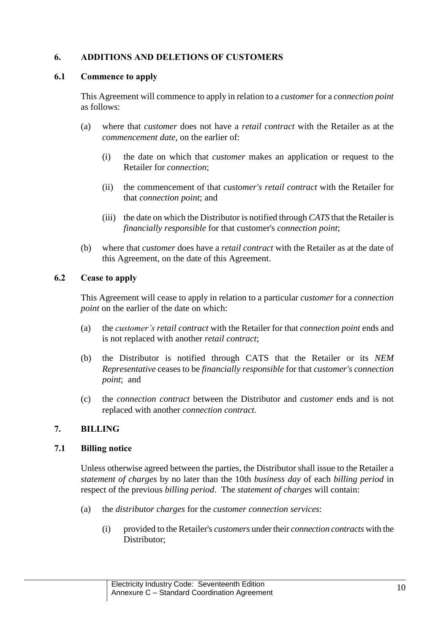# <span id="page-9-0"></span>**6. ADDITIONS AND DELETIONS OF CUSTOMERS**

### **6.1 Commence to apply**

This Agreement will commence to apply in relation to a *customer* for a *connection point* as follows:

- (a) where that *customer* does not have a *retail contract* with the Retailer as at the *commencement date*, on the earlier of:
	- (i) the date on which that *customer* makes an application or request to the Retailer for *connection*;
	- (ii) the commencement of that *customer's retail contract* with the Retailer for that *connection point*; and
	- (iii) the date on which the Distributor is notified through *CATS* that the Retailer is *financially responsible* for that customer's *connection point*;
- (b) where that *customer* does have a *retail contract* with the Retailer as at the date of this Agreement, on the date of this Agreement.

### <span id="page-9-3"></span>**6.2 Cease to apply**

This Agreement will cease to apply in relation to a particular *customer* for a *connection point* on the earlier of the date on which:

- (a) the *customer's retail contract* with the Retailer for that *connection point* ends and is not replaced with another *retail contract*;
- (b) the Distributor is notified through CATS that the Retailer or its *NEM Representative* ceases to be *financially responsible* for that *customer's connection point*; and
- (c) the *connection contract* between the Distributor and *customer* ends and is not replaced with another *connection contract*.

### <span id="page-9-2"></span>**7. BILLING**

### <span id="page-9-1"></span>**7.1 Billing notice**

Unless otherwise agreed between the parties, the Distributor shall issue to the Retailer a *statement of charges* by no later than the 10th *business day* of each *billing period* in respect of the previous *billing period*. The *statement of charges* will contain:

- (a) the *distributor charges* for the *customer connection services*:
	- (i) provided to the Retailer's *customers* under their *connection contracts* with the Distributor;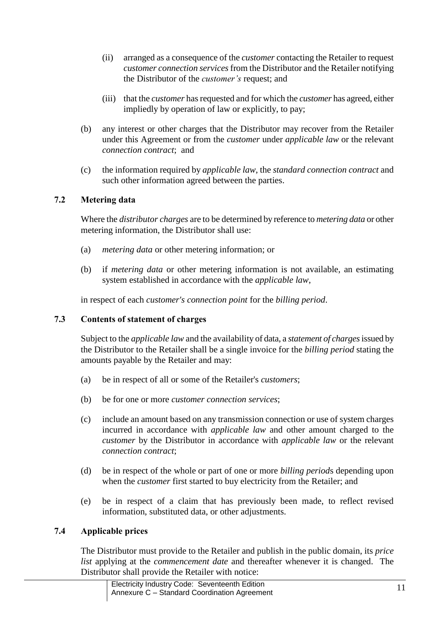- (ii) arranged as a consequence of the *customer* contacting the Retailer to request *customer connection services*from the Distributor and the Retailer notifying the Distributor of the *customer's* request; and
- (iii) that the *customer* has requested and for which the *customer* has agreed, either impliedly by operation of law or explicitly, to pay;
- (b) any interest or other charges that the Distributor may recover from the Retailer under this Agreement or from the *customer* under *applicable law* or the relevant *connection contract*; and
- (c) the information required by *applicable law*, the *standard connection contract* and such other information agreed between the parties.

# **7.2 Metering data**

Where the *distributor charges* are to be determined by reference to *metering data* or other metering information, the Distributor shall use:

- (a) *metering data* or other metering information; or
- (b) if *metering data* or other metering information is not available, an estimating system established in accordance with the *applicable law*,

in respect of each *customer's connection point* for the *billing period*.

### **7.3 Contents of statement of charges**

Subject to the *applicable law* and the availability of data, a *statement of charges*issued by the Distributor to the Retailer shall be a single invoice for the *billing period* stating the amounts payable by the Retailer and may:

- (a) be in respect of all or some of the Retailer's *customers*;
- (b) be for one or more *customer connection services*;
- (c) include an amount based on any transmission connection or use of system charges incurred in accordance with *applicable law* and other amount charged to the *customer* by the Distributor in accordance with *applicable law* or the relevant *connection contract*;
- (d) be in respect of the whole or part of one or more *billing period*s depending upon when the *customer* first started to buy electricity from the Retailer; and
- (e) be in respect of a claim that has previously been made, to reflect revised information, substituted data, or other adjustments.

### **7.4 Applicable prices**

The Distributor must provide to the Retailer and publish in the public domain, its *price list* applying at the *commencement date* and thereafter whenever it is changed. The Distributor shall provide the Retailer with notice: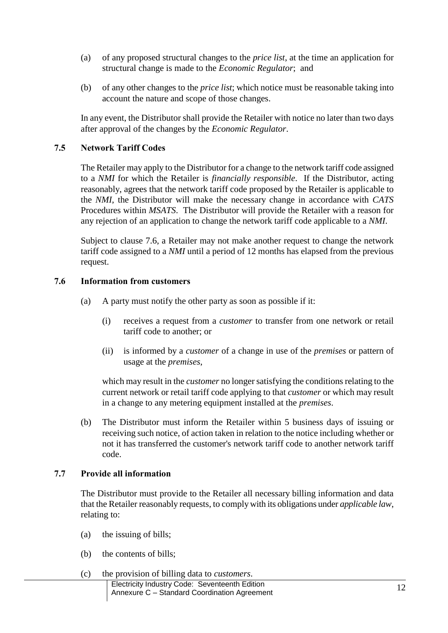- (a) of any proposed structural changes to the *price list*, at the time an application for structural change is made to the *Economic Regulator*; and
- (b) of any other changes to the *price list*; which notice must be reasonable taking into account the nature and scope of those changes.

In any event, the Distributor shall provide the Retailer with notice no later than two days after approval of the changes by the *Economic Regulator*.

### **7.5 Network Tariff Codes**

The Retailer may apply to the Distributor for a change to the network tariff code assigned to a *NMI* for which the Retailer is *financially responsible*. If the Distributor, acting reasonably, agrees that the network tariff code proposed by the Retailer is applicable to the *NMI*, the Distributor will make the necessary change in accordance with *CATS* Procedures within *MSATS*. The Distributor will provide the Retailer with a reason for any rejection of an application to change the network tariff code applicable to a *NMI*.

Subject to clause [7.6,](#page-11-0) a Retailer may not make another request to change the network tariff code assigned to a *NMI* until a period of 12 months has elapsed from the previous request.

### <span id="page-11-0"></span>**7.6 Information from customers**

- (a) A party must notify the other party as soon as possible if it:
	- (i) receives a request from a *customer* to transfer from one network or retail tariff code to another; or
	- (ii) is informed by a *customer* of a change in use of the *premises* or pattern of usage at the *premises*,

which may result in the *customer* no longer satisfying the conditions relating to the current network or retail tariff code applying to that *customer* or which may result in a change to any metering equipment installed at the *premises*.

(b) The Distributor must inform the Retailer within 5 business days of issuing or receiving such notice, of action taken in relation to the notice including whether or not it has transferred the customer's network tariff code to another network tariff code.

#### **7.7 Provide all information**

The Distributor must provide to the Retailer all necessary billing information and data that the Retailer reasonably requests, to comply with its obligations under *applicable law*, relating to:

- (a) the issuing of bills;
- (b) the contents of bills;
- (c) the provision of billing data to *customers*.
	- Electricity Industry Code: Seventeenth Edition Electricity industry Code: Seventeenth Edition<br>Annexure C – Standard Coordination Agreement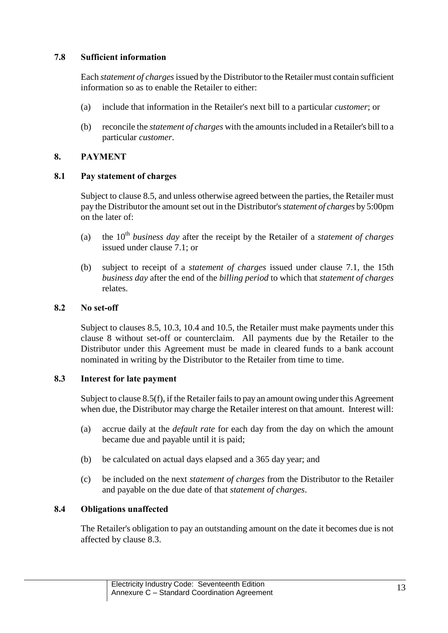# **7.8 Sufficient information**

Each *statement of charges*issued by the Distributor to the Retailer must contain sufficient information so as to enable the Retailer to either:

- (a) include that information in the Retailer's next bill to a particular *customer*; or
- (b) reconcile the *statement of charges* with the amounts included in a Retailer's bill to a particular *customer*.

# <span id="page-12-0"></span>**8. PAYMENT**

### <span id="page-12-2"></span>**8.1 Pay statement of charges**

Subject to clause [8.5,](#page-13-0) and unless otherwise agreed between the parties, the Retailer must pay the Distributor the amount set out in the Distributor's *statement of charges* by 5:00pm on the later of:

- (a) the 10th *business day* after the receipt by the Retailer of a *statement of charges* issued under clause [7.1;](#page-9-1) or
- (b) subject to receipt of a *statement of charges* issued under clause [7.1,](#page-9-1) the 15th *business day* after the end of the *billing period* to which that *statement of charges* relates.

# **8.2 No set-off**

Subject to clauses [8.5,](#page-13-0) [10.3,](#page-16-0) [10.4](#page-16-1) and [10.5,](#page-16-2) the Retailer must make payments under this clause [8](#page-12-0) without set-off or counterclaim. All payments due by the Retailer to the Distributor under this Agreement must be made in cleared funds to a bank account nominated in writing by the Distributor to the Retailer from time to time.

### <span id="page-12-1"></span>**8.3 Interest for late payment**

Subject to claus[e 8.5\(f\),](#page-14-0) if the Retailer fails to pay an amount owing under this Agreement when due, the Distributor may charge the Retailer interest on that amount. Interest will:

- (a) accrue daily at the *default rate* for each day from the day on which the amount became due and payable until it is paid;
- (b) be calculated on actual days elapsed and a 365 day year; and
- (c) be included on the next *statement of charges* from the Distributor to the Retailer and payable on the due date of that *statement of charges*.

# **8.4 Obligations unaffected**

The Retailer's obligation to pay an outstanding amount on the date it becomes due is not affected by clause [8.3.](#page-12-1)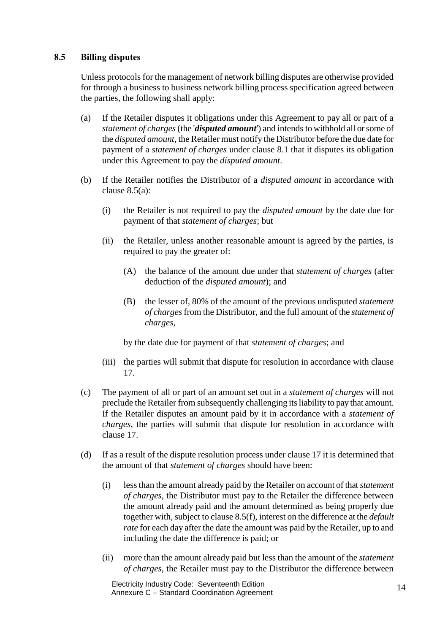# <span id="page-13-0"></span>**8.5 Billing disputes**

Unless protocols for the management of network billing disputes are otherwise provided for through a business to business network billing process specification agreed between the parties, the following shall apply:

- (a) If the Retailer disputes it obligations under this Agreement to pay all or part of a *statement of charges*(the '*disputed amount*') and intends to withhold all or some of the *disputed amount*, the Retailer must notify the Distributor before the due date for payment of a *statement of charges* under clause [8.1](#page-12-2) that it disputes its obligation under this Agreement to pay the *disputed amount*.
- (b) If the Retailer notifies the Distributor of a *disputed amount* in accordance with clause [8.5\(a\):](#page-13-0)
	- (i) the Retailer is not required to pay the *disputed amount* by the date due for payment of that *statement of charges*; but
	- (ii) the Retailer, unless another reasonable amount is agreed by the parties, is required to pay the greater of:
		- (A) the balance of the amount due under that *statement of charges* (after deduction of the *disputed amount*); and
		- (B) the lesser of, 80% of the amount of the previous undisputed *statement of charges* from the Distributor, and the full amount of the *statement of charges*,

by the date due for payment of that *statement of charges*; and

- (iii) the parties will submit that dispute for resolution in accordance with clause [17.](#page-23-0)
- (c) The payment of all or part of an amount set out in a *statement of charges* will not preclude the Retailer from subsequently challenging its liability to pay that amount. If the Retailer disputes an amount paid by it in accordance with a *statement of charges*, the parties will submit that dispute for resolution in accordance with clause [17.](#page-23-0)
- (d) If as a result of the dispute resolution process under claus[e 17](#page-23-0) it is determined that the amount of that *statement of charges* should have been:
	- (i) less than the amount already paid by the Retailer on account of that *statement of charges*, the Distributor must pay to the Retailer the difference between the amount already paid and the amount determined as being properly due together with, subject to claus[e 8.5\(f\),](#page-13-0) interest on the difference at the *default rate* for each day after the date the amount was paid by the Retailer, up to and including the date the difference is paid; or
	- (ii) more than the amount already paid but less than the amount of the *statement of charges*, the Retailer must pay to the Distributor the difference between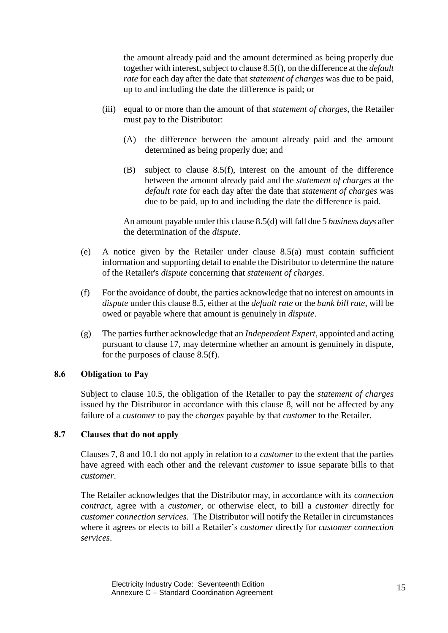the amount already paid and the amount determined as being properly due together with interest, subject to clause [8.5\(f\),](#page-13-0) on the difference at the *default rate* for each day after the date that *statement of charges* was due to be paid, up to and including the date the difference is paid; or

- (iii) equal to or more than the amount of that *statement of charges*, the Retailer must pay to the Distributor:
	- (A) the difference between the amount already paid and the amount determined as being properly due; and
	- (B) subject to clause [8.5\(f\),](#page-13-0) interest on the amount of the difference between the amount already paid and the *statement of charges* at the *default rate* for each day after the date that *statement of charges* was due to be paid, up to and including the date the difference is paid.

An amount payable under this clause [8.5\(d\)](#page-13-0) will fall due 5 *business days* after the determination of the *dispute*.

- (e) A notice given by the Retailer under clause [8.5\(a\)](#page-13-0) must contain sufficient information and supporting detail to enable the Distributor to determine the nature of the Retailer's *dispute* concerning that *statement of charges*.
- <span id="page-14-0"></span>(f) For the avoidance of doubt, the parties acknowledge that no interest on amounts in *dispute* under this claus[e 8.5,](#page-13-0) either at the *default rate* or the *bank bill rate*, will be owed or payable where that amount is genuinely in *dispute*.
- (g) The parties further acknowledge that an *Independent Expert*, appointed and acting pursuant to clause [17,](#page-23-0) may determine whether an amount is genuinely in dispute, for the purposes of clause [8.5\(f\).](#page-13-0)

### **8.6 Obligation to Pay**

Subject to clause [10.5,](#page-16-2) the obligation of the Retailer to pay the *statement of charges* issued by the Distributor in accordance with this clause [8,](#page-12-0) will not be affected by any failure of a *customer* to pay the *charges* payable by that *customer* to the Retailer.

### **8.7 Clauses that do not apply**

Clauses [7,](#page-9-2) [8](#page-12-0) and [10.1](#page-15-0) do not apply in relation to a *customer* to the extent that the parties have agreed with each other and the relevant *customer* to issue separate bills to that *customer*.

The Retailer acknowledges that the Distributor may, in accordance with its *connection contract*, agree with a *customer*, or otherwise elect, to bill a *customer* directly for *customer connection services*. The Distributor will notify the Retailer in circumstances where it agrees or elects to bill a Retailer's *customer* directly for *customer connection services*.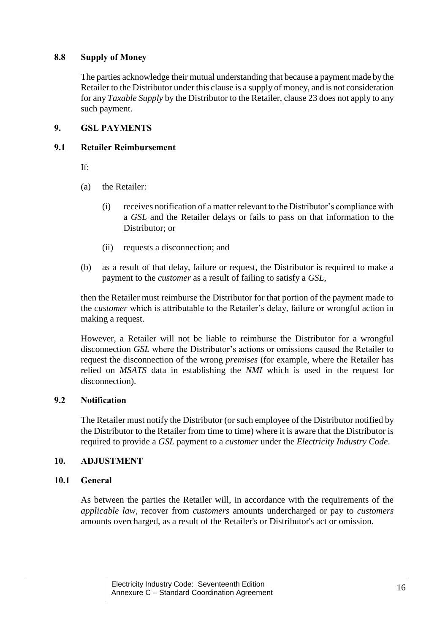# **8.8 Supply of Money**

The parties acknowledge their mutual understanding that because a payment made by the Retailer to the Distributor under this clause is a supply of money, and is not consideration for any *Taxable Supply* by the Distributor to the Retailer, claus[e 23](#page-30-0) does not apply to any such payment.

# **9. GSL PAYMENTS**

### **9.1 Retailer Reimbursement**

If:

- (a) the Retailer:
	- (i) receives notification of a matter relevant to the Distributor's compliance with a *GSL* and the Retailer delays or fails to pass on that information to the Distributor; or
	- (ii) requests a disconnection; and
- (b) as a result of that delay, failure or request, the Distributor is required to make a payment to the *customer* as a result of failing to satisfy a *GSL*,

then the Retailer must reimburse the Distributor for that portion of the payment made to the *customer* which is attributable to the Retailer's delay, failure or wrongful action in making a request.

However, a Retailer will not be liable to reimburse the Distributor for a wrongful disconnection *GSL* where the Distributor's actions or omissions caused the Retailer to request the disconnection of the wrong *premises* (for example, where the Retailer has relied on *MSATS* data in establishing the *NMI* which is used in the request for disconnection).

## **9.2 Notification**

The Retailer must notify the Distributor (or such employee of the Distributor notified by the Distributor to the Retailer from time to time) where it is aware that the Distributor is required to provide a *GSL* payment to a *customer* under the *Electricity Industry Code*.

### **10. ADJUSTMENT**

### <span id="page-15-0"></span>**10.1 General**

As between the parties the Retailer will, in accordance with the requirements of the *applicable law,* recover from *customers* amounts undercharged or pay to *customers*  amounts overcharged, as a result of the Retailer's or Distributor's act or omission.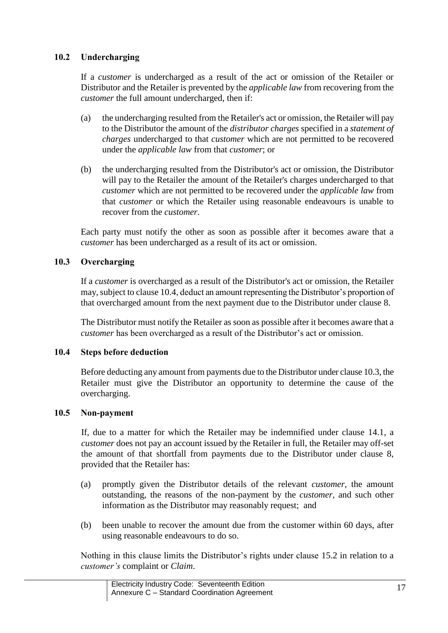# **10.2 Undercharging**

If a *customer* is undercharged as a result of the act or omission of the Retailer or Distributor and the Retailer is prevented by the *applicable law* from recovering from the *customer* the full amount undercharged, then if:

- (a) the undercharging resulted from the Retailer's act or omission, the Retailer will pay to the Distributor the amount of the *distributor charges* specified in a *statement of charges* undercharged to that *customer* which are not permitted to be recovered under the *applicable law* from that *customer*; or
- (b) the undercharging resulted from the Distributor's act or omission, the Distributor will pay to the Retailer the amount of the Retailer's charges undercharged to that *customer* which are not permitted to be recovered under the *applicable law* from that *customer* or which the Retailer using reasonable endeavours is unable to recover from the *customer*.

Each party must notify the other as soon as possible after it becomes aware that a *customer* has been undercharged as a result of its act or omission.

### <span id="page-16-0"></span>**10.3 Overcharging**

If a *customer* is overcharged as a result of the Distributor's act or omission, the Retailer may, subject to clause [10.4,](#page-16-1) deduct an amount representing the Distributor's proportion of that overcharged amount from the next payment due to the Distributor under clause [8.](#page-12-0)

The Distributor must notify the Retailer as soon as possible after it becomes aware that a *customer* has been overcharged as a result of the Distributor's act or omission.

### <span id="page-16-1"></span>**10.4 Steps before deduction**

Before deducting any amount from payments due to the Distributor under claus[e 10.3,](#page-16-0) the Retailer must give the Distributor an opportunity to determine the cause of the overcharging.

#### <span id="page-16-2"></span>**10.5 Non-payment**

If, due to a matter for which the Retailer may be indemnified under clause [14.1,](#page-20-0) a *customer* does not pay an account issued by the Retailer in full, the Retailer may off-set the amount of that shortfall from payments due to the Distributor under clause [8,](#page-12-0) provided that the Retailer has:

- (a) promptly given the Distributor details of the relevant *customer*, the amount outstanding, the reasons of the non-payment by the *customer*, and such other information as the Distributor may reasonably request; and
- (b) been unable to recover the amount due from the customer within 60 days, after using reasonable endeavours to do so.

Nothing in this clause limits the Distributor's rights under clause [15.2](#page-21-0) in relation to a *customer's* complaint or *Claim*.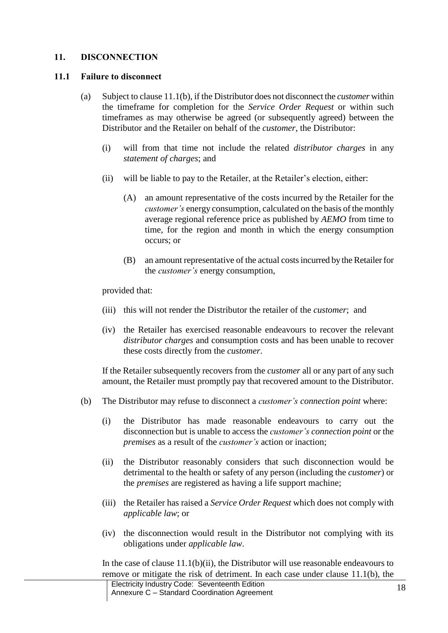### <span id="page-17-1"></span>**11. DISCONNECTION**

#### <span id="page-17-0"></span>**11.1 Failure to disconnect**

- (a) Subject to clause [11.1\(](#page-17-0)b), if the Distributor does not disconnect the *customer* within the timeframe for completion for the *Service Order Request* or within such timeframes as may otherwise be agreed (or subsequently agreed) between the Distributor and the Retailer on behalf of the *customer*, the Distributor:
	- (i) will from that time not include the related *distributor charges* in any *statement of charges*; and
	- (ii) will be liable to pay to the Retailer, at the Retailer's election, either:
		- (A) an amount representative of the costs incurred by the Retailer for the *customer's* energy consumption, calculated on the basis of the monthly average regional reference price as published by *AEMO* from time to time, for the region and month in which the energy consumption occurs; or
		- (B) an amount representative of the actual costs incurred by the Retailer for the *customer's* energy consumption,

provided that:

- (iii) this will not render the Distributor the retailer of the *customer*; and
- (iv) the Retailer has exercised reasonable endeavours to recover the relevant *distributor charges* and consumption costs and has been unable to recover these costs directly from the *customer*.

If the Retailer subsequently recovers from the *customer* all or any part of any such amount, the Retailer must promptly pay that recovered amount to the Distributor.

- (b) The Distributor may refuse to disconnect a *customer's connection point* where:
	- (i) the Distributor has made reasonable endeavours to carry out the disconnection but is unable to access the *customer's connection point* or the *premises* as a result of the *customer's* action or inaction;
	- (ii) the Distributor reasonably considers that such disconnection would be detrimental to the health or safety of any person (including the *customer*) or the *premises* are registered as having a life support machine;
	- (iii) the Retailer has raised a *Service Order Request* which does not comply with *applicable law*; or
	- (iv) the disconnection would result in the Distributor not complying with its obligations under *applicable law*.

In the case of clause  $11.1(b)(ii)$ , the Distributor will use reasonable endeavours to remove or mitigate the risk of detriment. In each case under clause [11.1\(](#page-17-0)b), the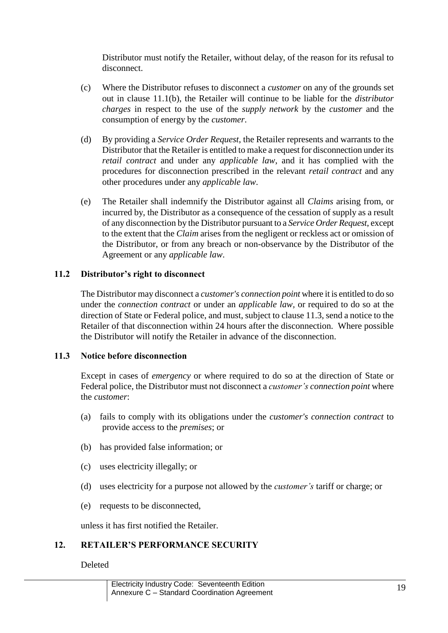Distributor must notify the Retailer, without delay, of the reason for its refusal to disconnect.

- (c) Where the Distributor refuses to disconnect a *customer* on any of the grounds set out in clause [11.1\(](#page-17-0)b), the Retailer will continue to be liable for the *distributor charges* in respect to the use of the *supply network* by the *customer* and the consumption of energy by the *customer*.
- (d) By providing a *Service Order Request*, the Retailer represents and warrants to the Distributor that the Retailer is entitled to make a request for disconnection under its *retail contract* and under any *applicable law*, and it has complied with the procedures for disconnection prescribed in the relevant *retail contract* and any other procedures under any *applicable law*.
- (e) The Retailer shall indemnify the Distributor against all *Claims* arising from, or incurred by, the Distributor as a consequence of the cessation of supply as a result of any disconnection by the Distributor pursuant to a *Service Order Request*, except to the extent that the *Claim* arises from the negligent or reckless act or omission of the Distributor, or from any breach or non-observance by the Distributor of the Agreement or any *applicable law*.

### **11.2 Distributor's right to disconnect**

The Distributor may disconnect a *customer's connection point* where it is entitled to do so under the *connection contract* or under an *applicable law,* or required to do so at the direction of State or Federal police, and must, subject to claus[e 11.3,](#page-18-0) send a notice to the Retailer of that disconnection within 24 hours after the disconnection. Where possible the Distributor will notify the Retailer in advance of the disconnection.

#### <span id="page-18-0"></span>**11.3 Notice before disconnection**

Except in cases of *emergency* or where required to do so at the direction of State or Federal police, the Distributor must not disconnect a *customer's connection point* where the *customer*:

- (a) fails to comply with its obligations under the *customer's connection contract* to provide access to the *premises*; or
- (b) has provided false information; or
- (c) uses electricity illegally; or
- (d) uses electricity for a purpose not allowed by the *customer's* tariff or charge; or
- (e) requests to be disconnected,

unless it has first notified the Retailer.

# **12. RETAILER'S PERFORMANCE SECURITY**

Deleted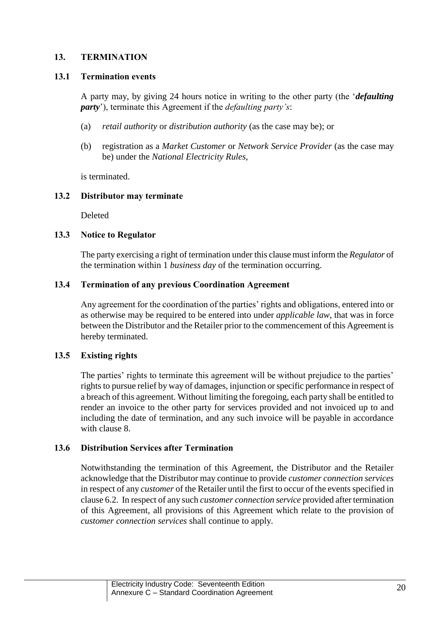# <span id="page-19-0"></span>**13. TERMINATION**

### **13.1 Termination events**

A party may, by giving 24 hours notice in writing to the other party (the '*defaulting party*'), terminate this Agreement if the *defaulting party's*:

- (a) *retail authority* or *distribution authority* (as the case may be); or
- (b) registration as a *Market Customer* or *Network Service Provider* (as the case may be) under the *National Electricity Rules*,

is terminated.

### **13.2 Distributor may terminate**

Deleted

### **13.3 Notice to Regulator**

The party exercising a right of termination under this clause must inform the *Regulator* of the termination within 1 *business day* of the termination occurring.

### **13.4 Termination of any previous Coordination Agreement**

Any agreement for the coordination of the parties' rights and obligations, entered into or as otherwise may be required to be entered into under *applicable law*, that was in force between the Distributor and the Retailer prior to the commencement of this Agreement is hereby terminated.

#### **13.5 Existing rights**

The parties' rights to terminate this agreement will be without prejudice to the parties' rights to pursue relief by way of damages, injunction or specific performance in respect of a breach of this agreement. Without limiting the foregoing, each party shall be entitled to render an invoice to the other party for services provided and not invoiced up to and including the date of termination, and any such invoice will be payable in accordance with clause [8.](#page-12-0)

#### **13.6 Distribution Services after Termination**

Notwithstanding the termination of this Agreement, the Distributor and the Retailer acknowledge that the Distributor may continue to provide *customer connection services* in respect of any *customer* of the Retailer until the first to occur of the events specified in claus[e 6.2.](#page-9-3) In respect of any such *customer connection service* provided after termination of this Agreement, all provisions of this Agreement which relate to the provision of *customer connection services* shall continue to apply.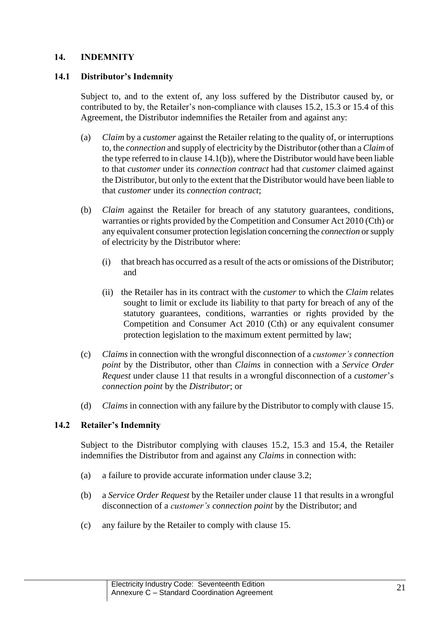## <span id="page-20-2"></span>**14. INDEMNITY**

## <span id="page-20-0"></span>**14.1 Distributor's Indemnity**

Subject to, and to the extent of, any loss suffered by the Distributor caused by, or contributed to by, the Retailer's non-compliance with clauses [15.2,](#page-21-0) [15.3](#page-22-0) or [15.4](#page-22-1) of this Agreement, the Distributor indemnifies the Retailer from and against any:

- (a) *Claim* by a *customer* against the Retailer relating to the quality of, or interruptions to, the *connection* and supply of electricity by the Distributor (other than a *Claim* of the type referred to in claus[e 14.1\(](#page-20-0)b)), where the Distributor would have been liable to that *customer* under its *connection contract* had that *customer* claimed against the Distributor, but only to the extent that the Distributor would have been liable to that *customer* under its *connection contract*;
- (b) *Claim* against the Retailer for breach of any statutory guarantees, conditions, warranties or rights provided by the Competition and Consumer Act 2010 (Cth) or any equivalent consumer protection legislation concerning the *connection* or supply of electricity by the Distributor where:
	- (i) that breach has occurred as a result of the acts or omissions of the Distributor; and
	- (ii) the Retailer has in its contract with the *customer* to which the *Claim* relates sought to limit or exclude its liability to that party for breach of any of the statutory guarantees, conditions, warranties or rights provided by the Competition and Consumer Act 2010 (Cth) or any equivalent consumer protection legislation to the maximum extent permitted by law;
- (c) *Claims* in connection with the wrongful disconnection of a *customer's connection point* by the Distributor, other than *Claims* in connection with a *Service Order Request* under clause [11](#page-17-1) that results in a wrongful disconnection of a *customer*'s *connection point* by the *Distributor*; or
- (d) *Claims* in connection with any failure by the Distributor to comply with clause [15.](#page-21-1)

# <span id="page-20-1"></span>**14.2 Retailer's Indemnity**

Subject to the Distributor complying with clauses [15.2,](#page-21-0) [15.3](#page-22-0) and [15.4,](#page-22-1) the Retailer indemnifies the Distributor from and against any *Claims* in connection with:

- (a) a failure to provide accurate information under clause [3.2;](#page-6-1)
- (b) a *Service Order Request* by the Retailer under clause [11](#page-17-1) that results in a wrongful disconnection of a *customer's connection point* by the Distributor; and
- (c) any failure by the Retailer to comply with clause [15.](#page-21-1)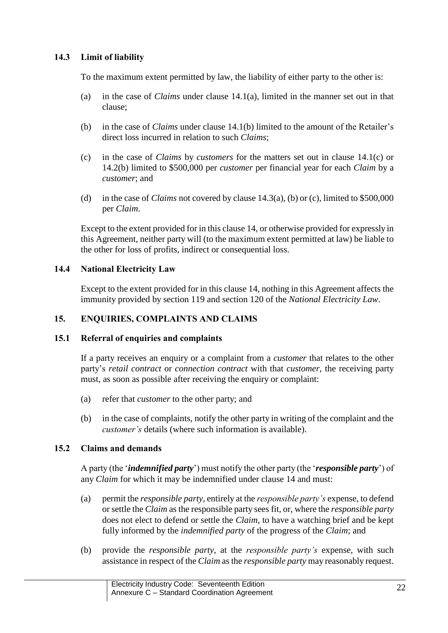# <span id="page-21-2"></span>**14.3 Limit of liability**

To the maximum extent permitted by law, the liability of either party to the other is:

- (a) in the case of *Claims* under clause [14.1\(](#page-20-0)a), limited in the manner set out in that clause;
- (b) in the case of *Claims* under clause [14.1\(](#page-20-0)b) limited to the amount of the Retailer's direct loss incurred in relation to such *Claims*;
- (c) in the case of *Claims* by *customers* for the matters set out in clause [14.1\(](#page-20-0)c) or [14.2\(](#page-20-1)b) limited to \$500,000 per *customer* per financial year for each *Claim* by a *customer*; and
- (d) in the case of *Claims* not covered by clause [14.3\(](#page-21-2)a), (b) or (c), limited to \$500,000 per *Claim*.

Except to the extent provided for in this clause [14,](#page-20-2) or otherwise provided for expressly in this Agreement, neither party will (to the maximum extent permitted at law) be liable to the other for loss of profits, indirect or consequential loss.

### **14.4 National Electricity Law**

Except to the extent provided for in this clause [14,](#page-20-2) nothing in this Agreement affects the immunity provided by section 119 and section 120 of the *National Electricity Law*.

### <span id="page-21-1"></span>**15. ENQUIRIES, COMPLAINTS AND CLAIMS**

#### <span id="page-21-3"></span>**15.1 Referral of enquiries and complaints**

If a party receives an enquiry or a complaint from a *customer* that relates to the other party's *retail contract* or *connection contract* with that *customer*, the receiving party must, as soon as possible after receiving the enquiry or complaint:

- (a) refer that *customer* to the other party; and
- (b) in the case of complaints, notify the other party in writing of the complaint and the *customer's* details (where such information is available).

### <span id="page-21-0"></span>**15.2 Claims and demands**

A party (the '*indemnified party*') must notify the other party (the '*responsible party*') of any *Claim* for which it may be indemnified under clause [14](#page-20-2) and must:

- (a) permit the *responsible party*, entirely at the *responsible party's* expense, to defend or settle the *Claim* as the responsible party sees fit, or, where the *responsible party* does not elect to defend or settle the *Claim*, to have a watching brief and be kept fully informed by the *indemnified party* of the progress of the *Claim*; and
- (b) provide the *responsible party*, at the *responsible party's* expense, with such assistance in respect of the *Claim* as the *responsible party* may reasonably request.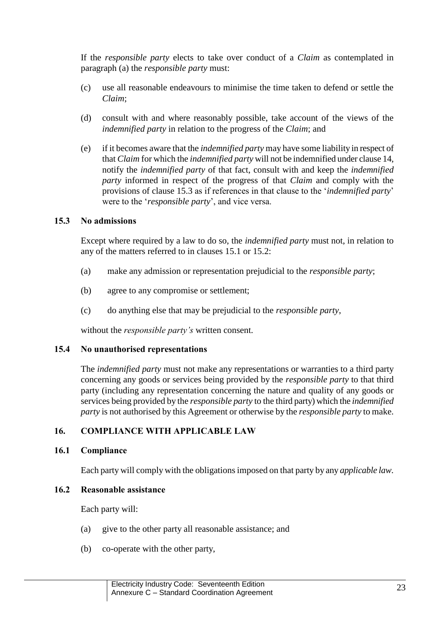If the *responsible party* elects to take over conduct of a *Claim* as contemplated in paragraph (a) the *responsible party* must:

- (c) use all reasonable endeavours to minimise the time taken to defend or settle the *Claim*;
- (d) consult with and where reasonably possible, take account of the views of the *indemnified party* in relation to the progress of the *Claim*; and
- (e) if it becomes aware that the *indemnified party* may have some liability in respect of that *Claim* for which the *indemnified party* will not be indemnified under claus[e 14,](#page-20-2) notify the *indemnified party* of that fact, consult with and keep the *indemnified party* informed in respect of the progress of that *Claim* and comply with the provisions of clause [15.3](#page-22-0) as if references in that clause to the '*indemnified party*' were to the '*responsible party*', and vice versa.

### <span id="page-22-0"></span>**15.3 No admissions**

Except where required by a law to do so, the *indemnified party* must not, in relation to any of the matters referred to in clauses [15.1](#page-21-3) or [15.2:](#page-21-0)

- (a) make any admission or representation prejudicial to the *responsible party*;
- (b) agree to any compromise or settlement;
- (c) do anything else that may be prejudicial to the *responsible party*,

without the *responsible party's* written consent.

#### <span id="page-22-1"></span>**15.4 No unauthorised representations**

The *indemnified party* must not make any representations or warranties to a third party concerning any goods or services being provided by the *responsible party* to that third party (including any representation concerning the nature and quality of any goods or services being provided by the *responsible party* to the third party) which the *indemnified party* is not authorised by this Agreement or otherwise by the *responsible party* to make.

### **16. COMPLIANCE WITH APPLICABLE LAW**

## **16.1 Compliance**

Each party will comply with the obligations imposed on that party by any *applicable law.*

# **16.2 Reasonable assistance**

Each party will:

- (a) give to the other party all reasonable assistance; and
- (b) co-operate with the other party,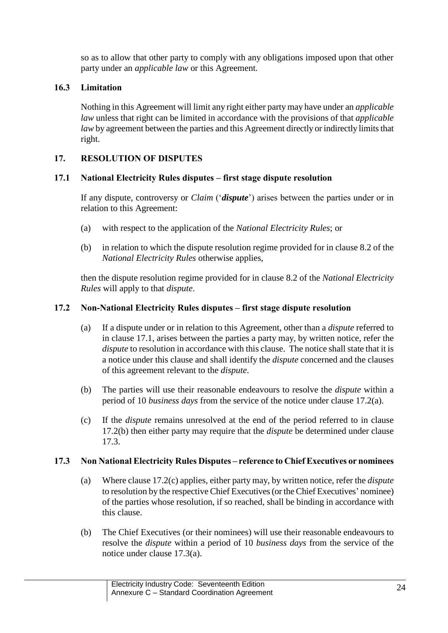so as to allow that other party to comply with any obligations imposed upon that other party under an *applicable law* or this Agreement.

# **16.3 Limitation**

Nothing in this Agreement will limit any right either party may have under an *applicable law* unless that right can be limited in accordance with the provisions of that *applicable law* by agreement between the parties and this Agreement directly or indirectly limits that right.

# <span id="page-23-0"></span>**17. RESOLUTION OF DISPUTES**

### <span id="page-23-1"></span>**17.1 National Electricity Rules disputes – first stage dispute resolution**

If any dispute, controversy or *Claim* ('*dispute*') arises between the parties under or in relation to this Agreement:

- (a) with respect to the application of the *National Electricity Rules*; or
- (b) in relation to which the dispute resolution regime provided for in clause 8.2 of the *National Electricity Rules* otherwise applies,

then the dispute resolution regime provided for in clause 8.2 of the *National Electricity Rules* will apply to that *dispute*.

### <span id="page-23-2"></span>**17.2 Non-National Electricity Rules disputes – first stage dispute resolution**

- (a) If a dispute under or in relation to this Agreement, other than a *dispute* referred to in clause [17.1,](#page-23-1) arises between the parties a party may, by written notice, refer the *dispute* to resolution in accordance with this clause. The notice shall state that it is a notice under this clause and shall identify the *dispute* concerned and the clauses of this agreement relevant to the *dispute*.
- (b) The parties will use their reasonable endeavours to resolve the *dispute* within a period of 10 *business days* from the service of the notice under clause [17.2\(](#page-23-2)a).
- (c) If the *dispute* remains unresolved at the end of the period referred to in clause [17.2\(](#page-23-2)b) then either party may require that the *dispute* be determined under clause [17.3.](#page-23-3)

### <span id="page-23-3"></span>**17.3 Non National Electricity Rules Disputes – reference to Chief Executives or nominees**

- (a) Where claus[e 17.2\(](#page-23-2)c) applies, either party may, by written notice, refer the *dispute*  to resolution by the respective Chief Executives (or the Chief Executives' nominee) of the parties whose resolution, if so reached, shall be binding in accordance with this clause.
- (b) The Chief Executives (or their nominees) will use their reasonable endeavours to resolve the *dispute* within a period of 10 *business days* from the service of the notice under clause [17.3\(](#page-23-3)a).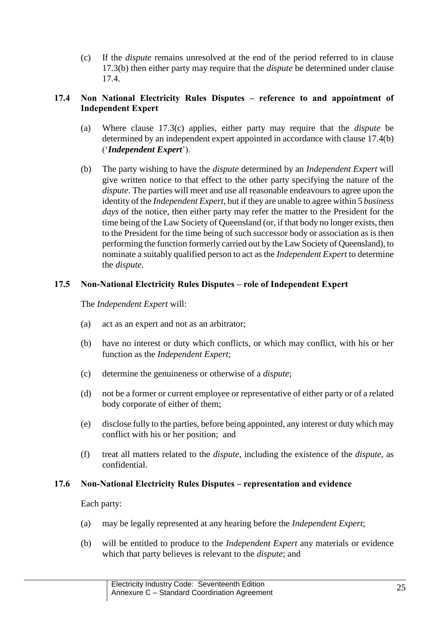(c) If the *dispute* remains unresolved at the end of the period referred to in clause [17.3\(](#page-23-3)b) then either party may require that the *dispute* be determined under clause [17.4.](#page-24-0)

# <span id="page-24-0"></span>**17.4 Non National Electricity Rules Disputes – reference to and appointment of Independent Expert**

- (a) Where clause [17.3\(](#page-23-3)c) applies, either party may require that the *dispute* be determined by an independent expert appointed in accordance with clause [17.4\(](#page-24-0)b) ('*Independent Expert*').
- (b) The party wishing to have the *dispute* determined by an *Independent Expert* will give written notice to that effect to the other party specifying the nature of the *dispute*. The parties will meet and use all reasonable endeavours to agree upon the identity of the *Independent Expert*, but if they are unable to agree within 5 *business days* of the notice, then either party may refer the matter to the President for the time being of the Law Society of Queensland (or, if that body no longer exists, then to the President for the time being of such successor body or association as is then performing the function formerly carried out by the Law Society of Queensland), to nominate a suitably qualified person to act as the *Independent Expert* to determine the *dispute*.

# **17.5 Non-National Electricity Rules Disputes – role of Independent Expert**

The *Independent Expert* will:

- (a) act as an expert and not as an arbitrator;
- (b) have no interest or duty which conflicts, or which may conflict, with his or her function as the *Independent Expert*;
- (c) determine the genuineness or otherwise of a *dispute*;
- (d) not be a former or current employee or representative of either party or of a related body corporate of either of them;
- (e) disclose fully to the parties, before being appointed, any interest or duty which may conflict with his or her position; and
- (f) treat all matters related to the *dispute*, including the existence of the *dispute*, as confidential.

### **17.6 Non-National Electricity Rules Disputes – representation and evidence**

Each party:

- (a) may be legally represented at any hearing before the *Independent Expert*;
- (b) will be entitled to produce to the *Independent Expert* any materials or evidence which that party believes is relevant to the *dispute*; and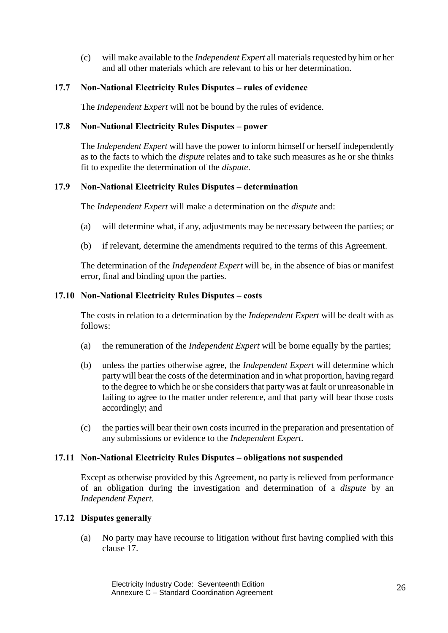(c) will make available to the *Independent Expert* all materials requested by him or her and all other materials which are relevant to his or her determination.

# **17.7 Non-National Electricity Rules Disputes – rules of evidence**

The *Independent Expert* will not be bound by the rules of evidence.

### **17.8 Non-National Electricity Rules Disputes – power**

The *Independent Expert* will have the power to inform himself or herself independently as to the facts to which the *dispute* relates and to take such measures as he or she thinks fit to expedite the determination of the *dispute*.

### **17.9 Non-National Electricity Rules Disputes – determination**

The *Independent Expert* will make a determination on the *dispute* and:

- (a) will determine what, if any, adjustments may be necessary between the parties; or
- (b) if relevant, determine the amendments required to the terms of this Agreement.

The determination of the *Independent Expert* will be, in the absence of bias or manifest error, final and binding upon the parties.

### **17.10 Non-National Electricity Rules Disputes – costs**

The costs in relation to a determination by the *Independent Expert* will be dealt with as follows:

- (a) the remuneration of the *Independent Expert* will be borne equally by the parties;
- (b) unless the parties otherwise agree, the *Independent Expert* will determine which party will bear the costs of the determination and in what proportion, having regard to the degree to which he or she considers that party was at fault or unreasonable in failing to agree to the matter under reference, and that party will bear those costs accordingly; and
- (c) the parties will bear their own costs incurred in the preparation and presentation of any submissions or evidence to the *Independent Expert*.

### **17.11 Non-National Electricity Rules Disputes – obligations not suspended**

Except as otherwise provided by this Agreement, no party is relieved from performance of an obligation during the investigation and determination of a *dispute* by an *Independent Expert*.

### **17.12 Disputes generally**

(a) No party may have recourse to litigation without first having complied with this clause [17.](#page-23-0)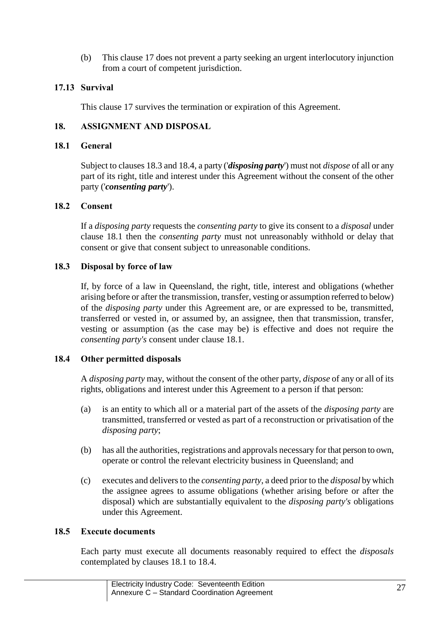(b) This clause [17](#page-23-0) does not prevent a party seeking an urgent interlocutory injunction from a court of competent jurisdiction.

## **17.13 Survival**

This clause [17](#page-23-0) survives the termination or expiration of this Agreement.

# **18. ASSIGNMENT AND DISPOSAL**

### <span id="page-26-2"></span>**18.1 General**

Subject to clause[s 18.3](#page-26-0) an[d 18.4,](#page-26-1) a party ('*disposing party*') must not *dispose* of all or any part of its right, title and interest under this Agreement without the consent of the other party ('*consenting party*').

### **18.2 Consent**

If a *disposing party* requests the *consenting party* to give its consent to a *disposal* under clause [18.1](#page-26-2) then the *consenting party* must not unreasonably withhold or delay that consent or give that consent subject to unreasonable conditions.

### <span id="page-26-0"></span>**18.3 Disposal by force of law**

If, by force of a law in Queensland, the right, title, interest and obligations (whether arising before or after the transmission, transfer, vesting or assumption referred to below) of the *disposing party* under this Agreement are, or are expressed to be, transmitted, transferred or vested in, or assumed by, an assignee, then that transmission, transfer, vesting or assumption (as the case may be) is effective and does not require the *consenting party's* consent under clause [18.1.](#page-26-2)

### <span id="page-26-1"></span>**18.4 Other permitted disposals**

A *disposing party* may, without the consent of the other party, *dispose* of any or all of its rights, obligations and interest under this Agreement to a person if that person:

- (a) is an entity to which all or a material part of the assets of the *disposing party* are transmitted, transferred or vested as part of a reconstruction or privatisation of the *disposing party*;
- (b) has all the authorities, registrations and approvals necessary for that person to own, operate or control the relevant electricity business in Queensland; and
- (c) executes and delivers to the *consenting party*, a deed prior to the *disposal* by which the assignee agrees to assume obligations (whether arising before or after the disposal) which are substantially equivalent to the *disposing party's* obligations under this Agreement.

#### **18.5 Execute documents**

Each party must execute all documents reasonably required to effect the *disposals* contemplated by clauses [18.1](#page-26-2) to [18.4.](#page-26-1)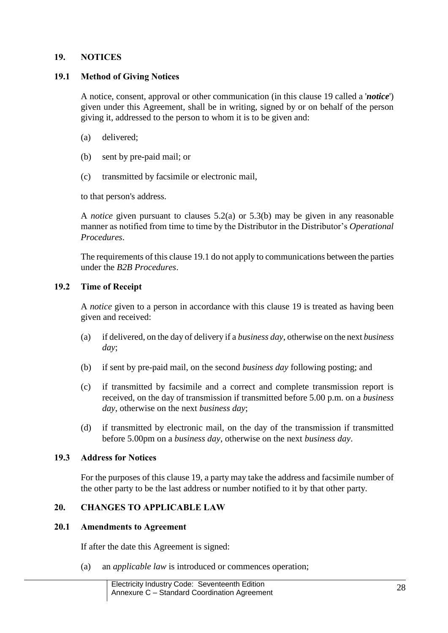### <span id="page-27-0"></span>**19. NOTICES**

#### <span id="page-27-1"></span>**19.1 Method of Giving Notices**

A notice, consent, approval or other communication (in this clause [19](#page-27-0) called a '*notice*') given under this Agreement, shall be in writing, signed by or on behalf of the person giving it, addressed to the person to whom it is to be given and:

- (a) delivered;
- (b) sent by pre-paid mail; or
- (c) transmitted by facsimile or electronic mail,

to that person's address.

A *notice* given pursuant to clauses [5.2\(a\)](#page-7-0) or [5.3\(b\)](#page-8-1) may be given in any reasonable manner as notified from time to time by the Distributor in the Distributor's *Operational Procedures*.

The requirements of this clause [19.1](#page-27-1) do not apply to communications between the parties under the *B2B Procedures*.

### **19.2 Time of Receipt**

A *notice* given to a person in accordance with this clause [19](#page-27-0) is treated as having been given and received:

- (a) if delivered, on the day of delivery if a *business day*, otherwise on the next *business day*;
- (b) if sent by pre-paid mail, on the second *business day* following posting; and
- (c) if transmitted by facsimile and a correct and complete transmission report is received, on the day of transmission if transmitted before 5.00 p.m. on a *business day*, otherwise on the next *business day*;
- (d) if transmitted by electronic mail, on the day of the transmission if transmitted before 5.00pm on a *business day*, otherwise on the next *business day*.

#### **19.3 Address for Notices**

For the purposes of this clause [19,](#page-27-0) a party may take the address and facsimile number of the other party to be the last address or number notified to it by that other party.

## **20. CHANGES TO APPLICABLE LAW**

#### <span id="page-27-2"></span>**20.1 Amendments to Agreement**

If after the date this Agreement is signed:

(a) an *applicable law* is introduced or commences operation;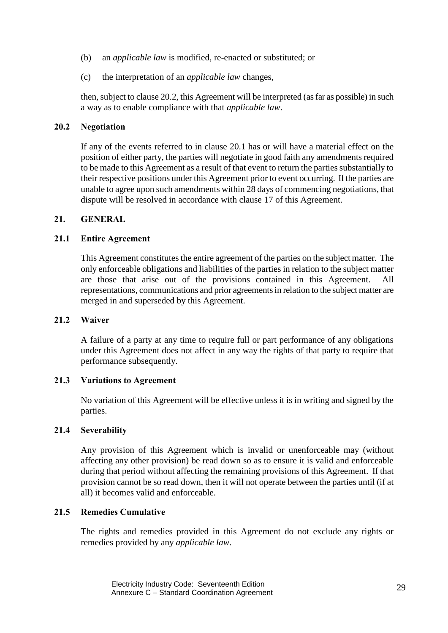- (b) an *applicable law* is modified, re-enacted or substituted; or
- (c) the interpretation of an *applicable law* changes,

then, subject to claus[e 20.2,](#page-28-0) this Agreement will be interpreted (as far as possible) in such a way as to enable compliance with that *applicable law*.

### <span id="page-28-0"></span>**20.2 Negotiation**

If any of the events referred to in clause [20.1](#page-27-2) has or will have a material effect on the position of either party, the parties will negotiate in good faith any amendments required to be made to this Agreement as a result of that event to return the parties substantially to their respective positions under this Agreement prior to event occurring. If the parties are unable to agree upon such amendments within 28 days of commencing negotiations, that dispute will be resolved in accordance with clause [17](#page-23-0) of this Agreement.

### **21. GENERAL**

### **21.1 Entire Agreement**

This Agreement constitutes the entire agreement of the parties on the subject matter. The only enforceable obligations and liabilities of the parties in relation to the subject matter are those that arise out of the provisions contained in this Agreement. All representations, communications and prior agreements in relation to the subject matter are merged in and superseded by this Agreement.

### **21.2 Waiver**

A failure of a party at any time to require full or part performance of any obligations under this Agreement does not affect in any way the rights of that party to require that performance subsequently.

#### **21.3 Variations to Agreement**

No variation of this Agreement will be effective unless it is in writing and signed by the parties.

### **21.4 Severability**

Any provision of this Agreement which is invalid or unenforceable may (without affecting any other provision) be read down so as to ensure it is valid and enforceable during that period without affecting the remaining provisions of this Agreement. If that provision cannot be so read down, then it will not operate between the parties until (if at all) it becomes valid and enforceable.

### **21.5 Remedies Cumulative**

The rights and remedies provided in this Agreement do not exclude any rights or remedies provided by any *applicable law*.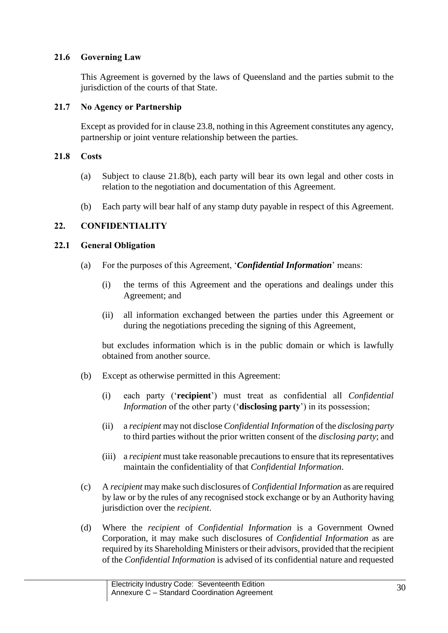## **21.6 Governing Law**

This Agreement is governed by the laws of Queensland and the parties submit to the jurisdiction of the courts of that State.

## **21.7 No Agency or Partnership**

Except as provided for in claus[e 23.8,](#page-32-0) nothing in this Agreement constitutes any agency, partnership or joint venture relationship between the parties.

# <span id="page-29-1"></span>**21.8 Costs**

- (a) Subject to clause [21.8\(](#page-29-1)b), each party will bear its own legal and other costs in relation to the negotiation and documentation of this Agreement.
- (b) Each party will bear half of any stamp duty payable in respect of this Agreement.

# <span id="page-29-2"></span>**22. CONFIDENTIALITY**

### <span id="page-29-0"></span>**22.1 General Obligation**

- (a) For the purposes of this Agreement, '*Confidential Information*' means:
	- (i) the terms of this Agreement and the operations and dealings under this Agreement; and
	- (ii) all information exchanged between the parties under this Agreement or during the negotiations preceding the signing of this Agreement,

but excludes information which is in the public domain or which is lawfully obtained from another source.

- (b) Except as otherwise permitted in this Agreement:
	- (i) each party ('**recipient**') must treat as confidential all *Confidential Information* of the other party ('**disclosing party**') in its possession;
	- (ii) a *recipient* may not disclose *Confidential Information* of the *disclosing party* to third parties without the prior written consent of the *disclosing party*; and
	- (iii) a *recipient* must take reasonable precautions to ensure that its representatives maintain the confidentiality of that *Confidential Information*.
- (c) A *recipient* may make such disclosures of *Confidential Information* as are required by law or by the rules of any recognised stock exchange or by an Authority having jurisdiction over the *recipient*.
- (d) Where the *recipient* of *Confidential Information* is a Government Owned Corporation, it may make such disclosures of *Confidential Information* as are required by its Shareholding Ministers or their advisors, provided that the recipient of the *Confidential Information* is advised of its confidential nature and requested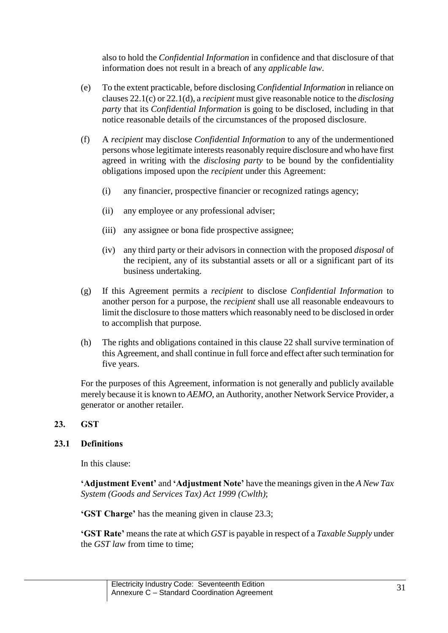also to hold the *Confidential Information* in confidence and that disclosure of that information does not result in a breach of any *applicable law*.

- (e) To the extent practicable, before disclosing *Confidential Information* in reliance on clause[s 22.1\(](#page-29-0)c) o[r 22.1\(](#page-29-0)d), a *recipient* must give reasonable notice to the *disclosing party* that its *Confidential Information* is going to be disclosed, including in that notice reasonable details of the circumstances of the proposed disclosure.
- (f) A *recipient* may disclose *Confidential Information* to any of the undermentioned persons whose legitimate interests reasonably require disclosure and who have first agreed in writing with the *disclosing party* to be bound by the confidentiality obligations imposed upon the *recipient* under this Agreement:
	- (i) any financier, prospective financier or recognized ratings agency;
	- (ii) any employee or any professional adviser;
	- (iii) any assignee or bona fide prospective assignee;
	- (iv) any third party or their advisors in connection with the proposed *disposal* of the recipient, any of its substantial assets or all or a significant part of its business undertaking.
- (g) If this Agreement permits a *recipient* to disclose *Confidential Information* to another person for a purpose, the *recipient* shall use all reasonable endeavours to limit the disclosure to those matters which reasonably need to be disclosed in order to accomplish that purpose.
- (h) The rights and obligations contained in this clause [22](#page-29-2) shall survive termination of this Agreement, and shall continue in full force and effect after such termination for five years.

For the purposes of this Agreement, information is not generally and publicly available merely because it is known to *AEMO*, an Authority, another Network Service Provider, a generator or another retailer.

#### <span id="page-30-0"></span>**23. GST**

### **23.1 Definitions**

In this clause:

**'Adjustment Event'** and **'Adjustment Note'** have the meanings given in the *A New Tax System (Goods and Services Tax) Act 1999 (Cwlth)*;

**'GST Charge'** has the meaning given in clause [23.3;](#page-31-0)

**'GST Rate'** means the rate at which *GST* is payable in respect of a *Taxable Supply* under the *GST law* from time to time;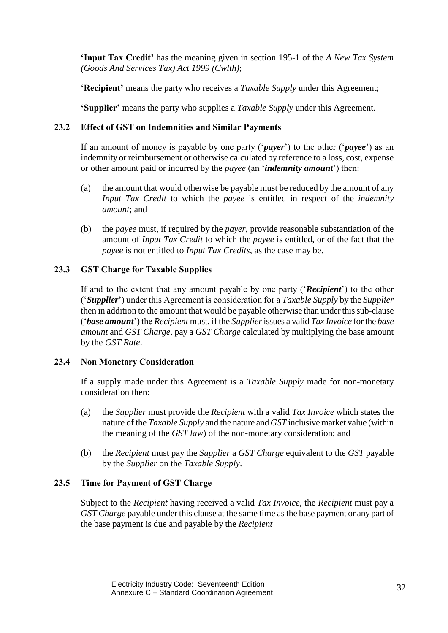**'Input Tax Credit'** has the meaning given in section 195-1 of the *A New Tax System (Goods And Services Tax) Act 1999 (Cwlth)*;

'**Recipient'** means the party who receives a *Taxable Supply* under this Agreement;

**'Supplier'** means the party who supplies a *Taxable Supply* under this Agreement.

# **23.2 Effect of GST on Indemnities and Similar Payments**

If an amount of money is payable by one party ('*payer*') to the other ('*payee*') as an indemnity or reimbursement or otherwise calculated by reference to a loss, cost, expense or other amount paid or incurred by the *payee* (an '*indemnity amount*') then:

- (a) the amount that would otherwise be payable must be reduced by the amount of any *Input Tax Credit* to which the *payee* is entitled in respect of the *indemnity amount*; and
- (b) the *payee* must, if required by the *payer*, provide reasonable substantiation of the amount of *Input Tax Credit* to which the *payee* is entitled, or of the fact that the *payee* is not entitled to *Input Tax Credits*, as the case may be.

# <span id="page-31-0"></span>**23.3 GST Charge for Taxable Supplies**

If and to the extent that any amount payable by one party ('*Recipient*') to the other ('*Supplier*') under this Agreement is consideration for a *Taxable Supply* by the *Supplier* then in addition to the amount that would be payable otherwise than under this sub-clause ('*base amount*') the *Recipient* must, if the *Supplier*issues a valid *Tax Invoice* for the *base amount* and *GST Charge*, pay a *GST Charge* calculated by multiplying the base amount by the *GST Rate*.

### **23.4 Non Monetary Consideration**

If a supply made under this Agreement is a *Taxable Supply* made for non-monetary consideration then:

- (a) the *Supplier* must provide the *Recipient* with a valid *Tax Invoice* which states the nature of the *Taxable Supply* and the nature and *GST* inclusive market value (within the meaning of the *GST law*) of the non-monetary consideration; and
- (b) the *Recipient* must pay the *Supplier* a *GST Charge* equivalent to the *GST* payable by the *Supplier* on the *Taxable Supply*.

# **23.5 Time for Payment of GST Charge**

Subject to the *Recipient* having received a valid *Tax Invoice*, the *Recipient* must pay a *GST Charge* payable under this clause at the same time as the base payment or any part of the base payment is due and payable by the *Recipient*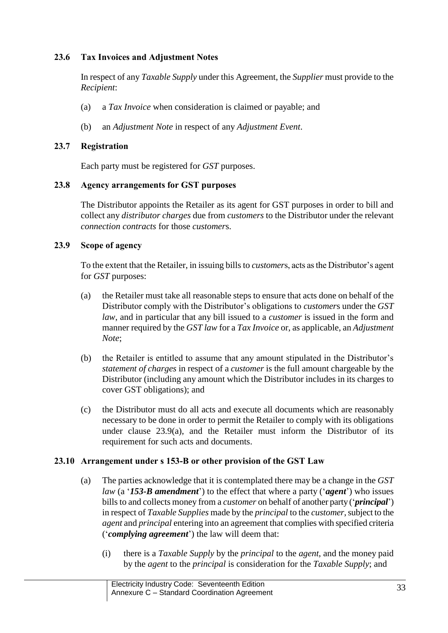# **23.6 Tax Invoices and Adjustment Notes**

In respect of any *Taxable Supply* under this Agreement, the *Supplier* must provide to the *Recipient*:

- (a) a *Tax Invoice* when consideration is claimed or payable; and
- (b) an *Adjustment Note* in respect of any *Adjustment Event*.

## **23.7 Registration**

Each party must be registered for *GST* purposes.

# <span id="page-32-0"></span>**23.8 Agency arrangements for GST purposes**

The Distributor appoints the Retailer as its agent for GST purposes in order to bill and collect any *distributor charges* due from *customers* to the Distributor under the relevant *connection contracts* for those *customer*s.

# <span id="page-32-1"></span>**23.9 Scope of agency**

To the extent that the Retailer, in issuing bills to *customer*s, acts as the Distributor's agent for *GST* purposes:

- (a) the Retailer must take all reasonable steps to ensure that acts done on behalf of the Distributor comply with the Distributor's obligations to *customer*s under the *GST law*, and in particular that any bill issued to a *customer* is issued in the form and manner required by the *GST law* for a *Tax Invoice* or, as applicable, an *Adjustment Note*;
- (b) the Retailer is entitled to assume that any amount stipulated in the Distributor's *statement of charges* in respect of a *customer* is the full amount chargeable by the Distributor (including any amount which the Distributor includes in its charges to cover GST obligations); and
- (c) the Distributor must do all acts and execute all documents which are reasonably necessary to be done in order to permit the Retailer to comply with its obligations under clause [23.9\(](#page-32-1)a), and the Retailer must inform the Distributor of its requirement for such acts and documents.

# **23.10 Arrangement under s 153-B or other provision of the GST Law**

- (a) The parties acknowledge that it is contemplated there may be a change in the *GST law* (a '*153-B amendment*') to the effect that where a party ('*agent*') who issues bills to and collects money from a *customer* on behalf of another party ('*principal*') in respect of *Taxable Supplies* made by the *principal* to the *customer*, subject to the *agent* and *principal* entering into an agreement that complies with specified criteria ('*complying agreement*') the law will deem that:
	- (i) there is a *Taxable Supply* by the *principal* to the *agent*, and the money paid by the *agent* to the *principal* is consideration for the *Taxable Supply*; and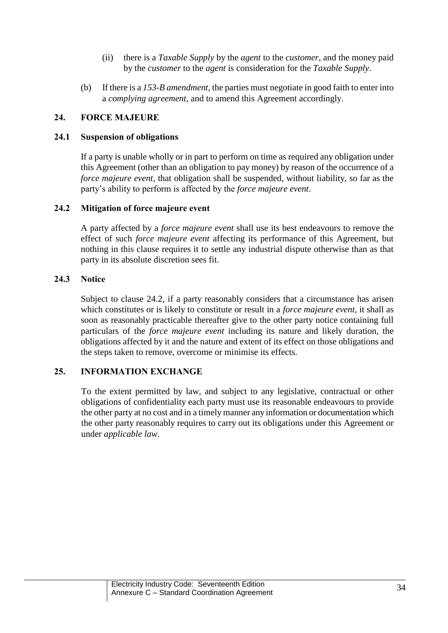- (ii) there is a *Taxable Supply* by the *agent* to the *customer*, and the money paid by the *customer* to the *agent* is consideration for the *Taxable Supply*.
- (b) If there is a *153-B amendment*, the parties must negotiate in good faith to enter into a *complying agreement*, and to amend this Agreement accordingly.

# **24. FORCE MAJEURE**

### **24.1 Suspension of obligations**

If a party is unable wholly or in part to perform on time as required any obligation under this Agreement (other than an obligation to pay money) by reason of the occurrence of a *force majeure event*, that obligation shall be suspended, without liability, so far as the party's ability to perform is affected by the *force majeure event*.

# <span id="page-33-0"></span>**24.2 Mitigation of force majeure event**

A party affected by a *force majeure event* shall use its best endeavours to remove the effect of such *force majeure event* affecting its performance of this Agreement, but nothing in this clause requires it to settle any industrial dispute otherwise than as that party in its absolute discretion sees fit.

# **24.3 Notice**

Subject to clause [24.2,](#page-33-0) if a party reasonably considers that a circumstance has arisen which constitutes or is likely to constitute or result in a *force majeure event*, it shall as soon as reasonably practicable thereafter give to the other party notice containing full particulars of the *force majeure event* including its nature and likely duration, the obligations affected by it and the nature and extent of its effect on those obligations and the steps taken to remove, overcome or minimise its effects.

### **25. INFORMATION EXCHANGE**

To the extent permitted by law, and subject to any legislative, contractual or other obligations of confidentiality each party must use its reasonable endeavours to provide the other party at no cost and in a timely manner any information or documentation which the other party reasonably requires to carry out its obligations under this Agreement or under *applicable law*.